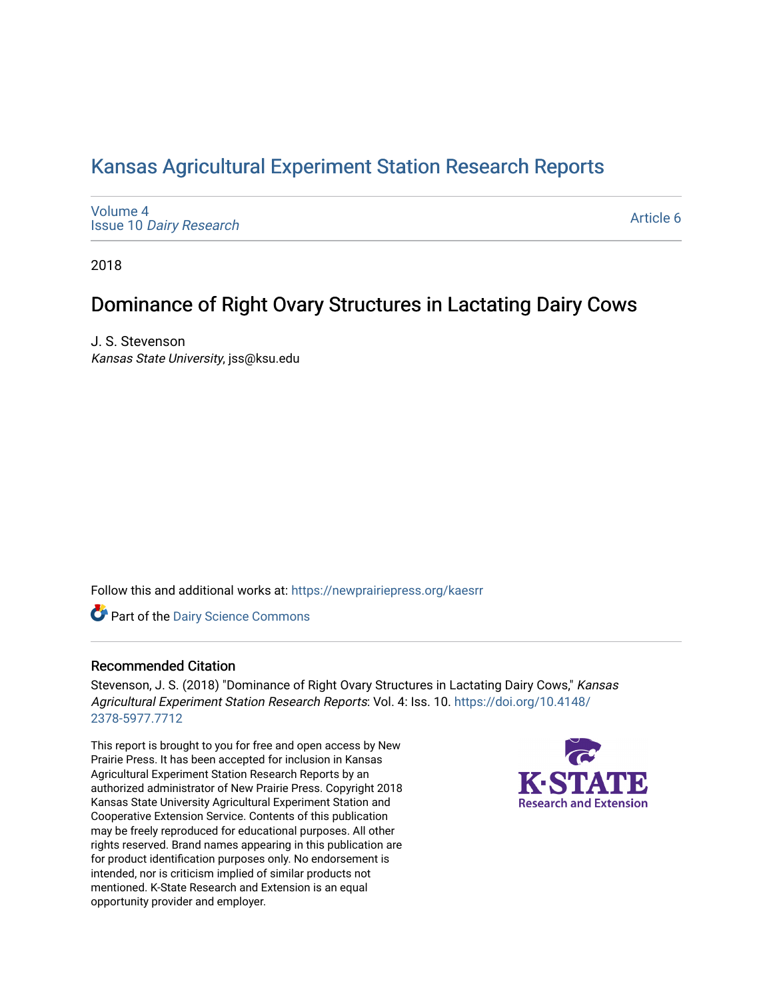# [Kansas Agricultural Experiment Station Research Reports](https://newprairiepress.org/kaesrr)

[Volume 4](https://newprairiepress.org/kaesrr/vol4) Issue 10 [Dairy Research](https://newprairiepress.org/kaesrr/vol4/iss10)

[Article 6](https://newprairiepress.org/kaesrr/vol4/iss10/6) 

2018

# Dominance of Right Ovary Structures in Lactating Dairy Cows

J. S. Stevenson Kansas State University, jss@ksu.edu

Follow this and additional works at: [https://newprairiepress.org/kaesrr](https://newprairiepress.org/kaesrr?utm_source=newprairiepress.org%2Fkaesrr%2Fvol4%2Fiss10%2F6&utm_medium=PDF&utm_campaign=PDFCoverPages) 

Part of the [Dairy Science Commons](http://network.bepress.com/hgg/discipline/79?utm_source=newprairiepress.org%2Fkaesrr%2Fvol4%2Fiss10%2F6&utm_medium=PDF&utm_campaign=PDFCoverPages) 

#### Recommended Citation

Stevenson, J. S. (2018) "Dominance of Right Ovary Structures in Lactating Dairy Cows," Kansas Agricultural Experiment Station Research Reports: Vol. 4: Iss. 10. [https://doi.org/10.4148/](https://doi.org/10.4148/2378-5977.7712) [2378-5977.7712](https://doi.org/10.4148/2378-5977.7712) 

This report is brought to you for free and open access by New Prairie Press. It has been accepted for inclusion in Kansas Agricultural Experiment Station Research Reports by an authorized administrator of New Prairie Press. Copyright 2018 Kansas State University Agricultural Experiment Station and Cooperative Extension Service. Contents of this publication may be freely reproduced for educational purposes. All other rights reserved. Brand names appearing in this publication are for product identification purposes only. No endorsement is intended, nor is criticism implied of similar products not mentioned. K-State Research and Extension is an equal opportunity provider and employer.

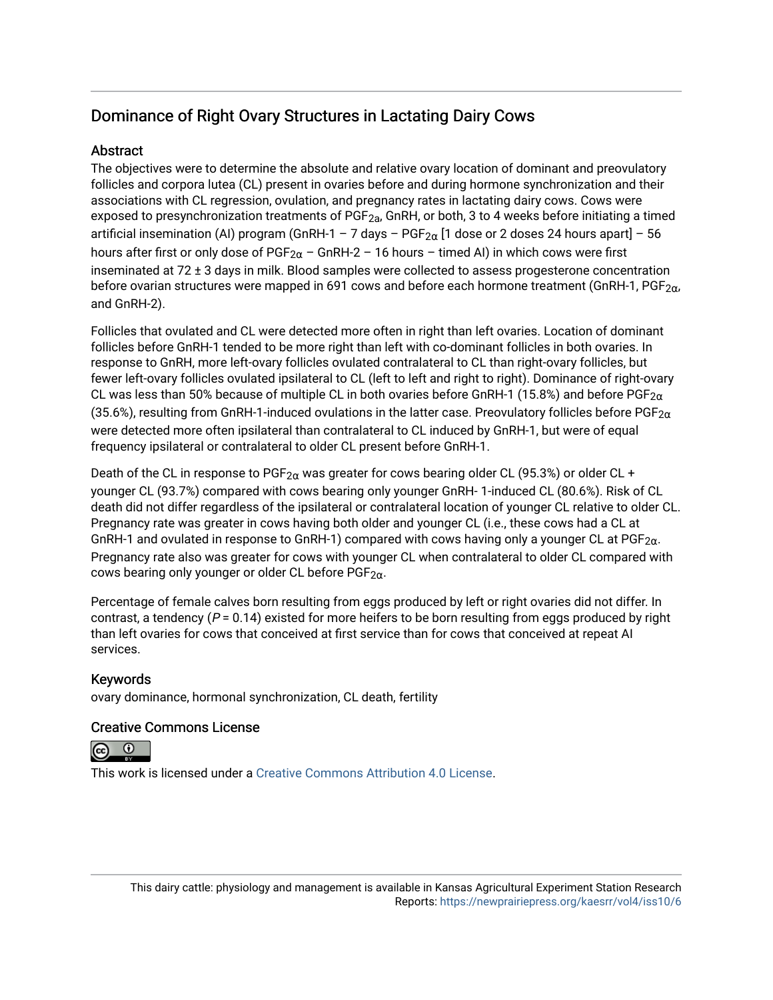# Dominance of Right Ovary Structures in Lactating Dairy Cows

## **Abstract**

The objectives were to determine the absolute and relative ovary location of dominant and preovulatory follicles and corpora lutea (CL) present in ovaries before and during hormone synchronization and their associations with CL regression, ovulation, and pregnancy rates in lactating dairy cows. Cows were exposed to presynchronization treatments of  $PGF_{2a}$ , GnRH, or both, 3 to 4 weeks before initiating a timed artificial insemination (AI) program (GnRH-1 – 7 days –  $PGF_{2\alpha}$  [1 dose or 2 doses 24 hours apart] – 56 hours after first or only dose of PGF<sub>2 $\alpha$ </sub> – GnRH-2 – 16 hours – timed AI) in which cows were first inseminated at 72 ± 3 days in milk. Blood samples were collected to assess progesterone concentration before ovarian structures were mapped in 691 cows and before each hormone treatment (GnRH-1, PGF<sub>2 $\alpha$ </sub>, and GnRH-2).

Follicles that ovulated and CL were detected more often in right than left ovaries. Location of dominant follicles before GnRH-1 tended to be more right than left with co-dominant follicles in both ovaries. In response to GnRH, more left-ovary follicles ovulated contralateral to CL than right-ovary follicles, but fewer left-ovary follicles ovulated ipsilateral to CL (left to left and right to right). Dominance of right-ovary CL was less than 50% because of multiple CL in both ovaries before GnRH-1 (15.8%) and before PGF<sub>2 $\alpha$ </sub> (35.6%), resulting from GnRH-1-induced ovulations in the latter case. Preovulatory follicles before PGF<sub>2 $\alpha$ </sub> were detected more often ipsilateral than contralateral to CL induced by GnRH-1, but were of equal frequency ipsilateral or contralateral to older CL present before GnRH-1.

Death of the CL in response to PGF<sub>2 $\alpha$ </sub> was greater for cows bearing older CL (95.3%) or older CL + younger CL (93.7%) compared with cows bearing only younger GnRH- 1-induced CL (80.6%). Risk of CL death did not differ regardless of the ipsilateral or contralateral location of younger CL relative to older CL. Pregnancy rate was greater in cows having both older and younger CL (i.e., these cows had a CL at GnRH-1 and ovulated in response to GnRH-1) compared with cows having only a younger CL at  $PGF_{2\alpha}$ . Pregnancy rate also was greater for cows with younger CL when contralateral to older CL compared with cows bearing only younger or older CL before  $PGF_{2\alpha}$ .

Percentage of female calves born resulting from eggs produced by left or right ovaries did not differ. In contrast, a tendency ( $P = 0.14$ ) existed for more heifers to be born resulting from eggs produced by right than left ovaries for cows that conceived at first service than for cows that conceived at repeat AI services.

### Keywords

ovary dominance, hormonal synchronization, CL death, fertility

### Creative Commons License

 $\odot$ 

This work is licensed under a [Creative Commons Attribution 4.0 License](https://creativecommons.org/licenses/by/4.0/).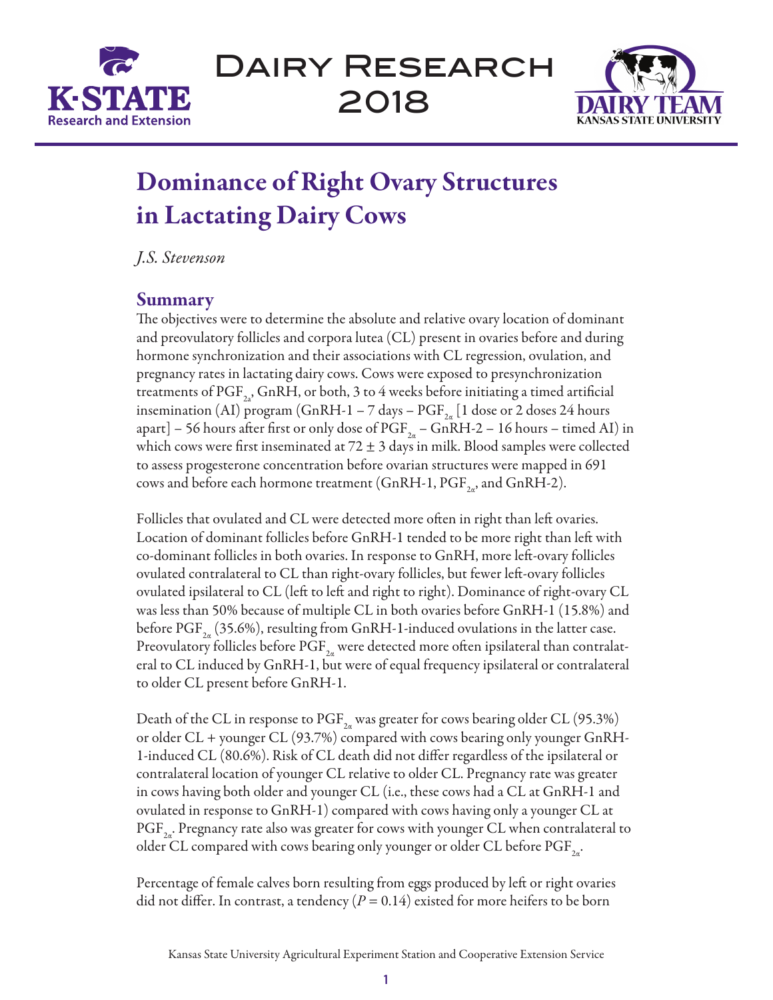



# Dominance of Right Ovary Structures in Lactating Dairy Cows

*J.S. Stevenson*

## Summary

The objectives were to determine the absolute and relative ovary location of dominant and preovulatory follicles and corpora lutea (CL) present in ovaries before and during hormone synchronization and their associations with CL regression, ovulation, and pregnancy rates in lactating dairy cows. Cows were exposed to presynchronization treatments of  $PGF_{2a}$ , GnRH, or both, 3 to 4 weeks before initiating a timed artificial insemination (AI) program (GnRH-1 – 7 days –  $PGF_{2a}$  [1 dose or 2 doses 24 hours apart] – 56 hours after first or only dose of  $PGF_{2a}$  – GnRH-2 – 16 hours – timed AI) in which cows were first inseminated at  $72 \pm 3$  days in milk. Blood samples were collected to assess progesterone concentration before ovarian structures were mapped in 691 cows and before each hormone treatment (GnRH-1,  $\text{PGF}_{2n}$ , and GnRH-2).

Follicles that ovulated and CL were detected more often in right than left ovaries. Location of dominant follicles before GnRH-1 tended to be more right than left with co-dominant follicles in both ovaries. In response to GnRH, more left-ovary follicles ovulated contralateral to CL than right-ovary follicles, but fewer left-ovary follicles ovulated ipsilateral to CL (left to left and right to right). Dominance of right-ovary CL was less than 50% because of multiple CL in both ovaries before GnRH-1 (15.8%) and before  $PGF_{2a}$  (35.6%), resulting from GnRH-1-induced ovulations in the latter case. Preovulatory follicles before  $\text{PGF}_{2a}$  were detected more often ipsilateral than contralateral to CL induced by GnRH-1, but were of equal frequency ipsilateral or contralateral to older CL present before GnRH-1.

Death of the CL in response to PGF<sub>2a</sub> was greater for cows bearing older CL (95.3%) or older CL + younger CL (93.7%) compared with cows bearing only younger GnRH-1-induced CL (80.6%). Risk of CL death did not differ regardless of the ipsilateral or contralateral location of younger CL relative to older CL. Pregnancy rate was greater in cows having both older and younger CL (i.e., these cows had a CL at GnRH-1 and ovulated in response to GnRH-1) compared with cows having only a younger CL at  $PGF_{2a}$ . Pregnancy rate also was greater for cows with younger CL when contralateral to older CL compared with cows bearing only younger or older CL before  $\mathrm{PGF}_{2a}$ .

Percentage of female calves born resulting from eggs produced by left or right ovaries did not differ. In contrast, a tendency  $(P = 0.14)$  existed for more heifers to be born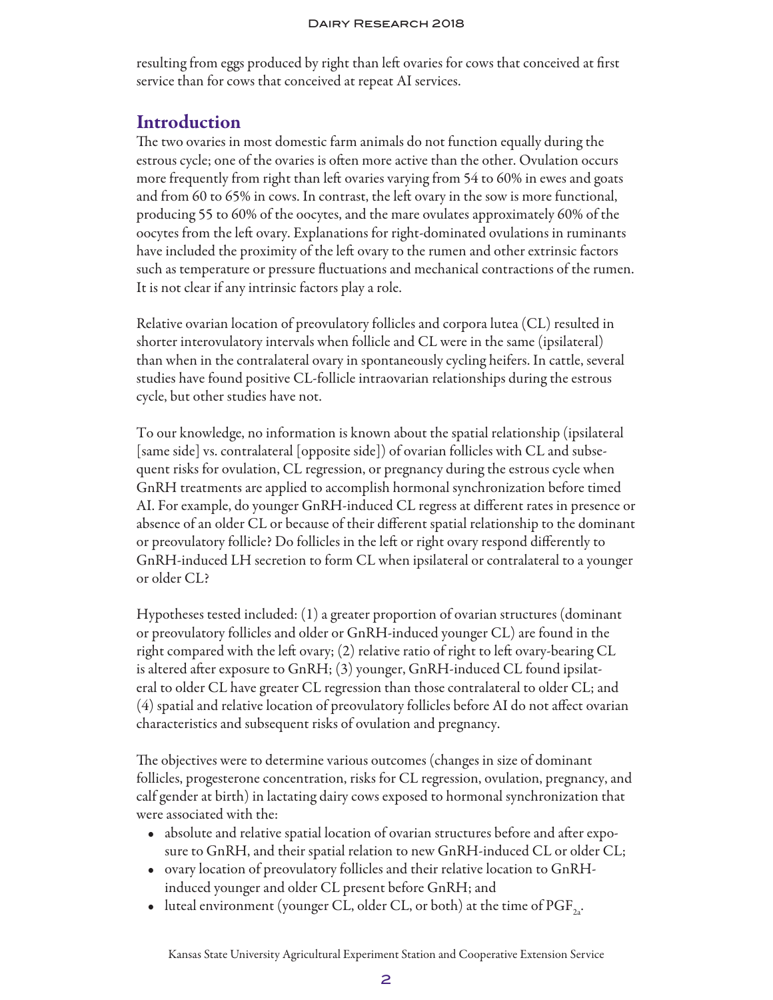resulting from eggs produced by right than left ovaries for cows that conceived at first service than for cows that conceived at repeat AI services.

## Introduction

The two ovaries in most domestic farm animals do not function equally during the estrous cycle; one of the ovaries is often more active than the other. Ovulation occurs more frequently from right than left ovaries varying from 54 to 60% in ewes and goats and from 60 to 65% in cows. In contrast, the left ovary in the sow is more functional, producing 55 to 60% of the oocytes, and the mare ovulates approximately 60% of the oocytes from the left ovary. Explanations for right-dominated ovulations in ruminants have included the proximity of the left ovary to the rumen and other extrinsic factors such as temperature or pressure fluctuations and mechanical contractions of the rumen. It is not clear if any intrinsic factors play a role.

Relative ovarian location of preovulatory follicles and corpora lutea (CL) resulted in shorter interovulatory intervals when follicle and CL were in the same (ipsilateral) than when in the contralateral ovary in spontaneously cycling heifers. In cattle, several studies have found positive CL-follicle intraovarian relationships during the estrous cycle, but other studies have not.

To our knowledge, no information is known about the spatial relationship (ipsilateral [same side] vs. contralateral [opposite side]) of ovarian follicles with CL and subsequent risks for ovulation, CL regression, or pregnancy during the estrous cycle when GnRH treatments are applied to accomplish hormonal synchronization before timed AI. For example, do younger GnRH-induced CL regress at different rates in presence or absence of an older CL or because of their different spatial relationship to the dominant or preovulatory follicle? Do follicles in the left or right ovary respond differently to GnRH-induced LH secretion to form CL when ipsilateral or contralateral to a younger or older CL?

Hypotheses tested included: (1) a greater proportion of ovarian structures (dominant or preovulatory follicles and older or GnRH-induced younger CL) are found in the right compared with the left ovary; (2) relative ratio of right to left ovary-bearing CL is altered after exposure to GnRH; (3) younger, GnRH-induced CL found ipsilateral to older CL have greater CL regression than those contralateral to older CL; and (4) spatial and relative location of preovulatory follicles before AI do not affect ovarian characteristics and subsequent risks of ovulation and pregnancy.

The objectives were to determine various outcomes (changes in size of dominant follicles, progesterone concentration, risks for CL regression, ovulation, pregnancy, and calf gender at birth) in lactating dairy cows exposed to hormonal synchronization that were associated with the:

- absolute and relative spatial location of ovarian structures before and after exposure to GnRH, and their spatial relation to new GnRH-induced CL or older CL;
- ovary location of preovulatory follicles and their relative location to GnRHinduced younger and older CL present before GnRH; and
- luteal environment (younger CL, older CL, or both) at the time of  $\mathrm{PGF}_{2}$ .

Kansas State University Agricultural Experiment Station and Cooperative Extension Service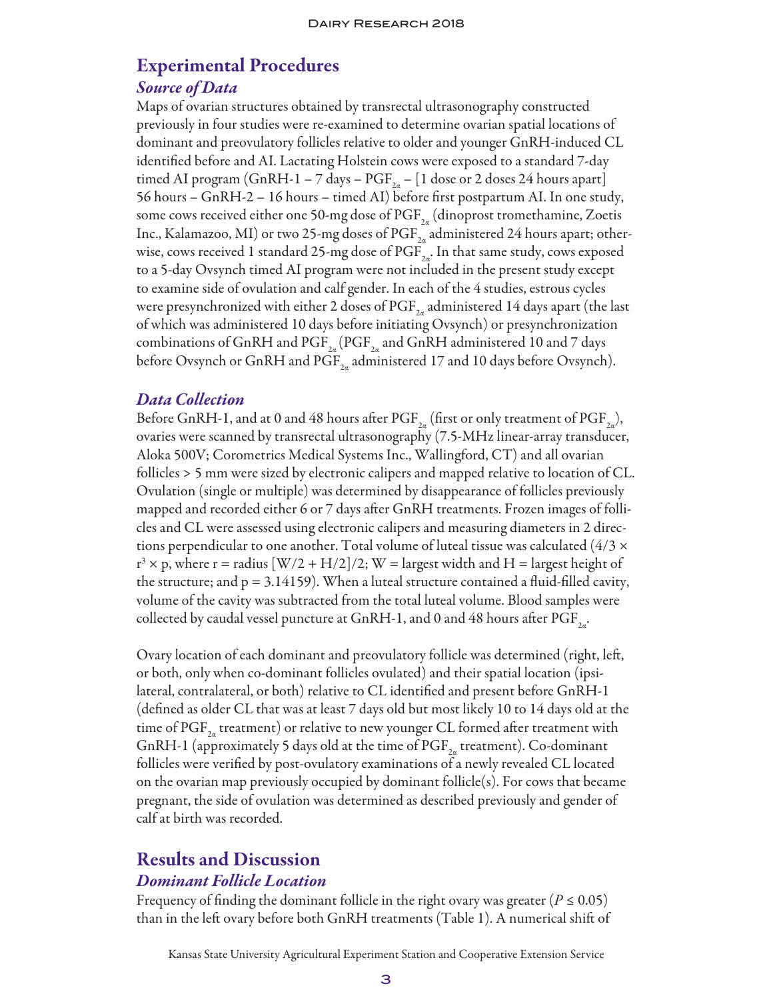# Experimental Procedures *Source of Data*

Maps of ovarian structures obtained by transrectal ultrasonography constructed previously in four studies were re-examined to determine ovarian spatial locations of dominant and preovulatory follicles relative to older and younger GnRH-induced CL identified before and AI. Lactating Holstein cows were exposed to a standard 7-day timed AI program (GnRH-1 – 7 days –  $PGF_{2a}$  – [1 dose or 2 doses 24 hours apart] 56 hours – GnRH-2 – 16 hours – timed AI) before first postpartum AI. In one study, some cows received either one 50-mg dose of  $\mathrm{PGF}_{2n}$  (dinoprost tromethamine, Zoetis Inc., Kalamazoo, MI) or two 25-mg doses of  $\mathrm{PGF}_{2a}$  administered 24 hours apart; otherwise, cows received 1 standard 25-mg dose of  $\mathrm{PGF}_{2a}$ . In that same study, cows exposed to a 5-day Ovsynch timed AI program were not included in the present study except to examine side of ovulation and calf gender. In each of the 4 studies, estrous cycles were presynchronized with either 2 doses of  $\mathrm{PGF}_{2n}$  administered 14 days apart (the last of which was administered 10 days before initiating Ovsynch) or presynchronization combinations of GnRH and  $\mathrm{PGF}_{2a}(\mathrm{PGF}_{2a})$  and GnRH administered 10 and 7 days before Ovsynch or GnRH and  $PGF_{2a}$  administered 17 and 10 days before Ovsynch).

## *Data Collection*

Before GnRH-1, and at 0 and 48 hours after PGF<sub>2a</sub> (first or only treatment of PGF<sub>2a</sub>), ovaries were scanned by transrectal ultrasonography (7.5-MHz linear-array transducer, Aloka 500V; Corometrics Medical Systems Inc., Wallingford, CT) and all ovarian follicles > 5 mm were sized by electronic calipers and mapped relative to location of CL. Ovulation (single or multiple) was determined by disappearance of follicles previously mapped and recorded either 6 or 7 days after GnRH treatments. Frozen images of follicles and CL were assessed using electronic calipers and measuring diameters in 2 directions perpendicular to one another. Total volume of luteal tissue was calculated  $(4/3 \times$  $r^3 \times p$ , where r = radius [W/2 + H/2]/2; W = largest width and H = largest height of the structure; and  $p = 3.14159$ ). When a luteal structure contained a fluid-filled cavity, volume of the cavity was subtracted from the total luteal volume. Blood samples were collected by caudal vessel puncture at GnRH-1, and 0 and 48 hours after  $\mathrm{PGF}_{2a}$ .

Ovary location of each dominant and preovulatory follicle was determined (right, left, or both, only when co-dominant follicles ovulated) and their spatial location (ipsilateral, contralateral, or both) relative to CL identified and present before GnRH-1 (defined as older CL that was at least 7 days old but most likely 10 to 14 days old at the time of  $\mathrm{PGF}_{2n}$  treatment) or relative to new younger CL formed after treatment with GnRH-1 (approximately 5 days old at the time of  $\mathrm{PGF}_{2a}$  treatment). Co-dominant follicles were verified by post-ovulatory examinations of a newly revealed CL located on the ovarian map previously occupied by dominant follicle(s). For cows that became pregnant, the side of ovulation was determined as described previously and gender of calf at birth was recorded.

# Results and Discussion

## *Dominant Follicle Location*

Frequency of finding the dominant follicle in the right ovary was greater ( $P \le 0.05$ ) than in the left ovary before both GnRH treatments (Table 1). A numerical shift of

Kansas State University Agricultural Experiment Station and Cooperative Extension Service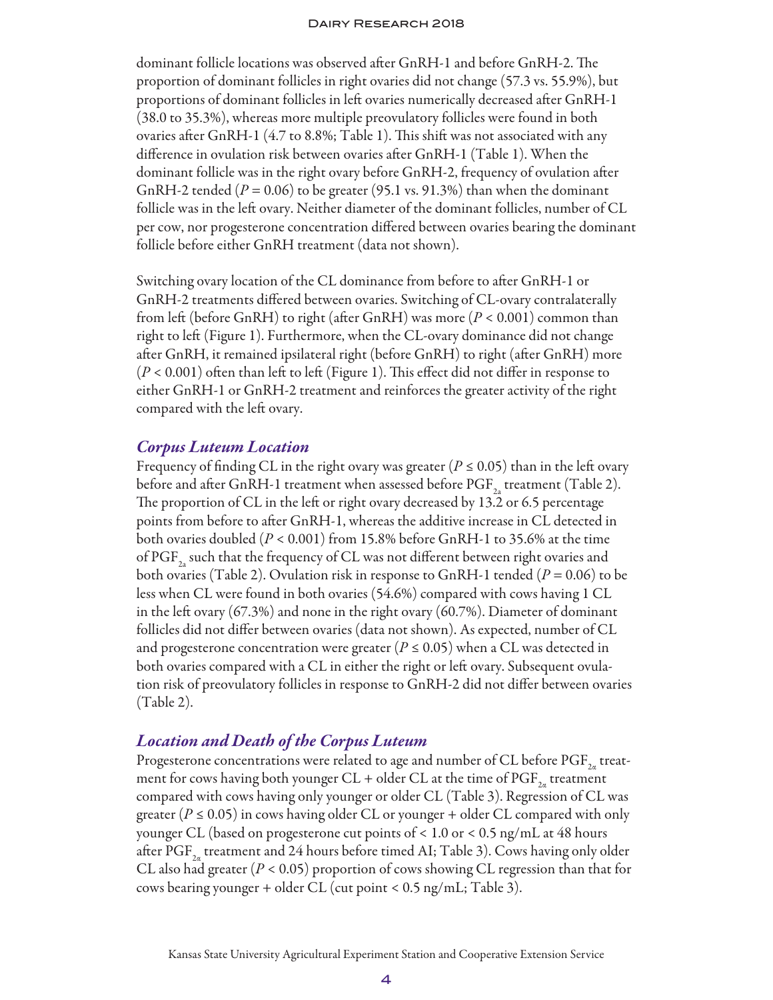dominant follicle locations was observed after GnRH-1 and before GnRH-2. The proportion of dominant follicles in right ovaries did not change (57.3 vs. 55.9%), but proportions of dominant follicles in left ovaries numerically decreased after GnRH-1 (38.0 to 35.3%), whereas more multiple preovulatory follicles were found in both ovaries after GnRH-1 (4.7 to 8.8%; Table 1). This shift was not associated with any difference in ovulation risk between ovaries after GnRH-1 (Table 1). When the dominant follicle was in the right ovary before GnRH-2, frequency of ovulation after GnRH-2 tended ( $P = 0.06$ ) to be greater (95.1 vs. 91.3%) than when the dominant follicle was in the left ovary. Neither diameter of the dominant follicles, number of CL per cow, nor progesterone concentration differed between ovaries bearing the dominant follicle before either GnRH treatment (data not shown).

Switching ovary location of the CL dominance from before to after GnRH-1 or GnRH-2 treatments differed between ovaries. Switching of CL-ovary contralaterally from left (before GnRH) to right (after GnRH) was more (*P* < 0.001) common than right to left (Figure 1). Furthermore, when the CL-ovary dominance did not change after GnRH, it remained ipsilateral right (before GnRH) to right (after GnRH) more (*P* < 0.001) often than left to left (Figure 1). This effect did not differ in response to either GnRH-1 or GnRH-2 treatment and reinforces the greater activity of the right compared with the left ovary.

#### *Corpus Luteum Location*

Frequency of finding CL in the right ovary was greater ( $P \le 0.05$ ) than in the left ovary before and after GnRH-1 treatment when assessed before  $\text{PGF}_{2}$  treatment (Table 2). The proportion of CL in the left or right ovary decreased by 13.2 or 6.5 percentage points from before to after GnRH-1, whereas the additive increase in CL detected in both ovaries doubled (*P* < 0.001) from 15.8% before GnRH-1 to 35.6% at the time of  $PGF_{2a}$  such that the frequency of CL was not different between right ovaries and both ovaries (Table 2). Ovulation risk in response to GnRH-1 tended (*P* = 0.06) to be less when CL were found in both ovaries (54.6%) compared with cows having 1 CL in the left ovary  $(67.3%)$  and none in the right ovary  $(60.7%)$ . Diameter of dominant follicles did not differ between ovaries (data not shown). As expected, number of CL and progesterone concentration were greater ( $P \le 0.05$ ) when a CL was detected in both ovaries compared with a CL in either the right or left ovary. Subsequent ovulation risk of preovulatory follicles in response to GnRH-2 did not differ between ovaries (Table 2).

### *Location and Death of the Corpus Luteum*

Progesterone concentrations were related to age and number of CL before  $\mathrm{PGF}_{2a}$  treatment for cows having both younger CL + older CL at the time of  $\mathrm{PGF}_{2a}$  treatment compared with cows having only younger or older CL (Table 3). Regression of CL was greater ( $P \le 0.05$ ) in cows having older CL or younger + older CL compared with only younger CL (based on progesterone cut points of < 1.0 or < 0.5 ng/mL at 48 hours after PGF<sub>2a</sub> treatment and 24 hours before timed AI; Table 3). Cows having only older CL also had greater ( $P < 0.05$ ) proportion of cows showing CL regression than that for cows bearing younger + older CL (cut point < 0.5 ng/mL; Table 3).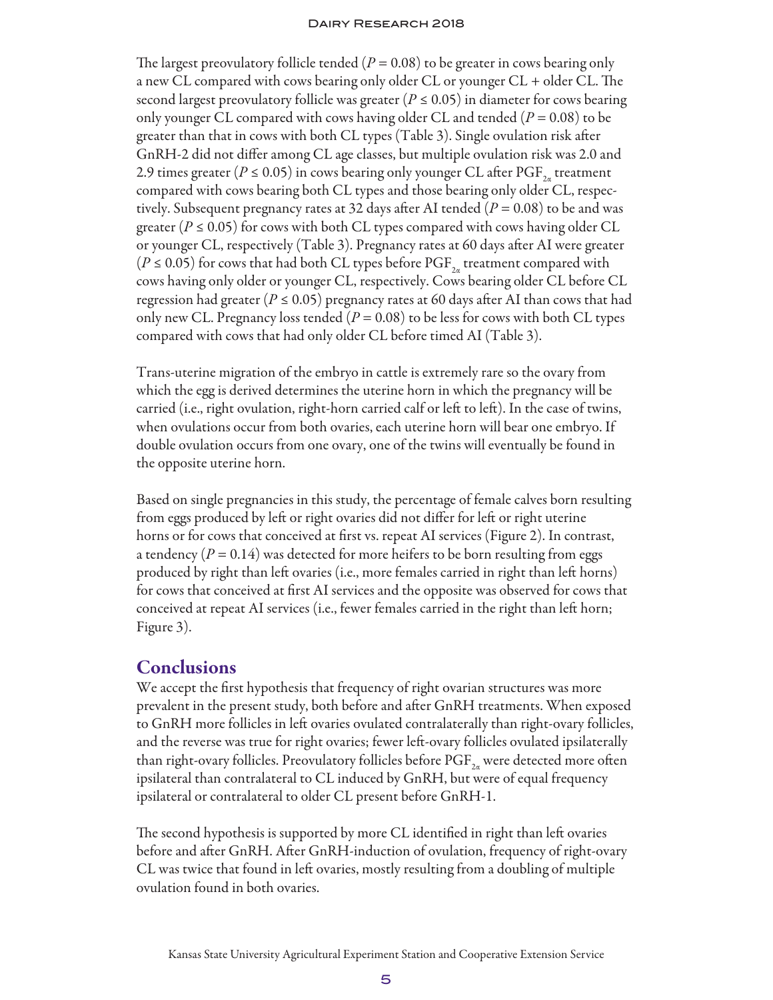The largest preovulatory follicle tended  $(P = 0.08)$  to be greater in cows bearing only a new CL compared with cows bearing only older CL or younger CL + older CL. The second largest preovulatory follicle was greater ( $P \le 0.05$ ) in diameter for cows bearing only younger CL compared with cows having older CL and tended (*P* = 0.08) to be greater than that in cows with both CL types (Table 3). Single ovulation risk after GnRH-2 did not differ among CL age classes, but multiple ovulation risk was 2.0 and 2.9 times greater ( $P \le 0.05$ ) in cows bearing only younger CL after PGF<sub>24</sub> treatment compared with cows bearing both CL types and those bearing only older CL, respectively. Subsequent pregnancy rates at 32 days after AI tended (*P* = 0.08) to be and was greater ( $P \le 0.05$ ) for cows with both CL types compared with cows having older CL or younger CL, respectively (Table 3). Pregnancy rates at 60 days after AI were greater  $(P \le 0.05)$  for cows that had both CL types before PGF<sub>2</sub> treatment compared with cows having only older or younger CL, respectively. Cows bearing older CL before CL regression had greater ( $P \le 0.05$ ) pregnancy rates at 60 days after AI than cows that had only new CL. Pregnancy loss tended  $(P = 0.08)$  to be less for cows with both CL types compared with cows that had only older CL before timed AI (Table 3).

Trans-uterine migration of the embryo in cattle is extremely rare so the ovary from which the egg is derived determines the uterine horn in which the pregnancy will be carried (i.e., right ovulation, right-horn carried calf or left to left). In the case of twins, when ovulations occur from both ovaries, each uterine horn will bear one embryo. If double ovulation occurs from one ovary, one of the twins will eventually be found in the opposite uterine horn.

Based on single pregnancies in this study, the percentage of female calves born resulting from eggs produced by left or right ovaries did not differ for left or right uterine horns or for cows that conceived at first vs. repeat AI services (Figure 2). In contrast, a tendency  $(P = 0.14)$  was detected for more heifers to be born resulting from eggs produced by right than left ovaries (i.e., more females carried in right than left horns) for cows that conceived at first AI services and the opposite was observed for cows that conceived at repeat AI services (i.e., fewer females carried in the right than left horn; Figure 3).

## **Conclusions**

We accept the first hypothesis that frequency of right ovarian structures was more prevalent in the present study, both before and after GnRH treatments. When exposed to GnRH more follicles in left ovaries ovulated contralaterally than right-ovary follicles, and the reverse was true for right ovaries; fewer left-ovary follicles ovulated ipsilaterally than right-ovary follicles. Preovulatory follicles before  $PGF_{2a}$  were detected more often ipsilateral than contralateral to CL induced by GnRH, but were of equal frequency ipsilateral or contralateral to older CL present before GnRH-1.

The second hypothesis is supported by more CL identified in right than left ovaries before and after GnRH. After GnRH-induction of ovulation, frequency of right-ovary CL was twice that found in left ovaries, mostly resulting from a doubling of multiple ovulation found in both ovaries.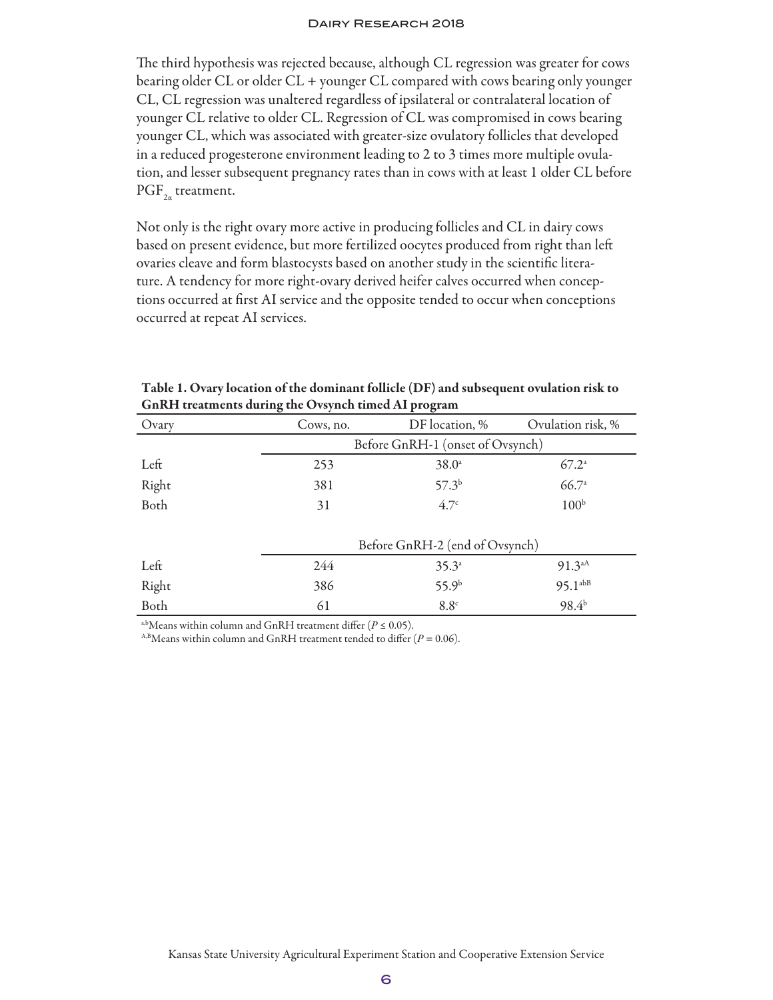The third hypothesis was rejected because, although CL regression was greater for cows bearing older CL or older CL + younger CL compared with cows bearing only younger CL, CL regression was unaltered regardless of ipsilateral or contralateral location of younger CL relative to older CL. Regression of CL was compromised in cows bearing younger CL, which was associated with greater-size ovulatory follicles that developed in a reduced progesterone environment leading to 2 to 3 times more multiple ovulation, and lesser subsequent pregnancy rates than in cows with at least 1 older CL before  $PGF_{2a}$  treatment.

Not only is the right ovary more active in producing follicles and CL in dairy cows based on present evidence, but more fertilized oocytes produced from right than left ovaries cleave and form blastocysts based on another study in the scientific literature. A tendency for more right-ovary derived heifer calves occurred when conceptions occurred at first AI service and the opposite tended to occur when conceptions occurred at repeat AI services.

| Ovary | ັ<br>Cows, no.                   | DF location, %    | Ovulation risk, % |  |
|-------|----------------------------------|-------------------|-------------------|--|
|       |                                  |                   |                   |  |
|       | Before GnRH-1 (onset of Ovsynch) |                   |                   |  |
| Left  | 253                              | $38.0^{\circ}$    | $67.2^{\circ}$    |  |
| Right | 381                              | $57.3^{b}$        | 66.7a             |  |
| Both  | 31                               | 4.7 <sup>c</sup>  | 100 <sup>b</sup>  |  |
|       |                                  |                   |                   |  |
|       | Before GnRH-2 (end of Ovsynch)   |                   |                   |  |
| Left  | 244                              | $35.3^{a}$        | $91.3^{aA}$       |  |
| Right | 386                              | 55.9 <sup>b</sup> | $95.1^{abB}$      |  |
| Both  | 61                               | 8.8 <sup>c</sup>  | $98.4^{b}$        |  |

Table 1. Ovary location of the dominant follicle (DF) and subsequent ovulation risk to GnRH treatments during the Ovsynch timed AI program

<sup>a,b</sup>Means within column and GnRH treatment differ ( $P \le 0.05$ ).

<sup>A,B</sup>Means within column and GnRH treatment tended to differ ( $P = 0.06$ ).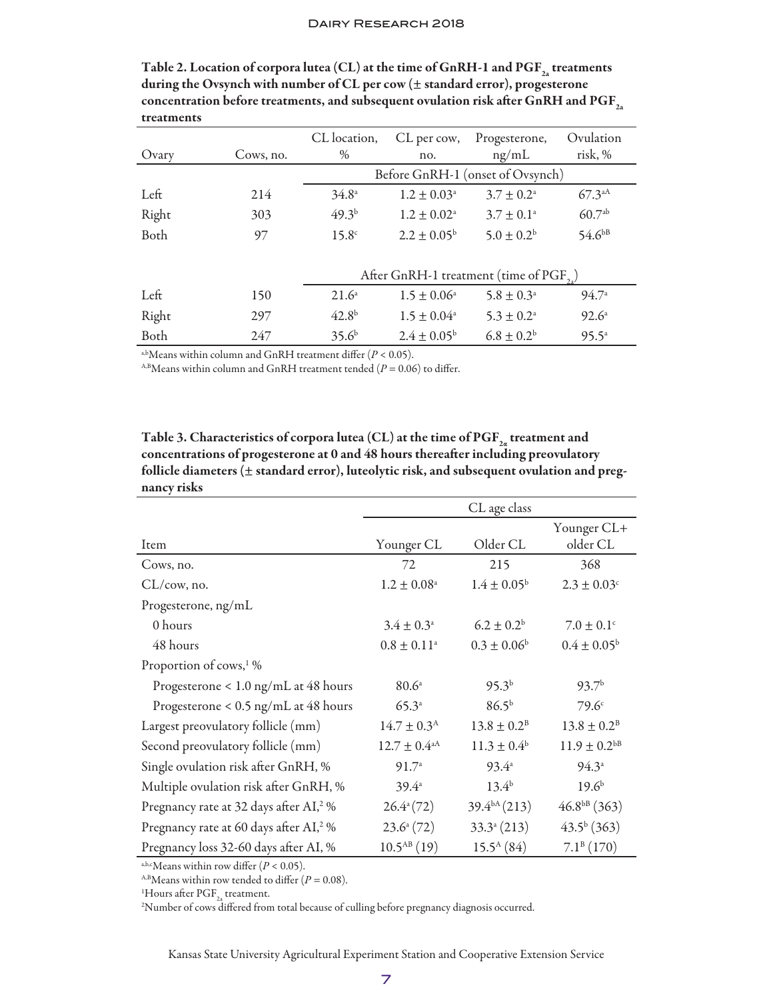|       |           | CL location,                                        | CL per cow,               | Progesterone,         | Ovulation          |
|-------|-----------|-----------------------------------------------------|---------------------------|-----------------------|--------------------|
| Ovary | Cows, no. | $\%$                                                | no.                       | ng/mL                 | risk, %            |
|       |           | Before GnRH-1 (onset of Ovsynch)                    |                           |                       |                    |
| Left  | 214       | $34.8^{\circ}$                                      | $1.2 \pm 0.03^{\circ}$    | $3.7 \pm 0.2^{\circ}$ | $67.3^{\text{aA}}$ |
| Right | 303       | $49.3^{b}$                                          | $1.2 \pm 0.02^{\text{a}}$ | $3.7 \pm 0.1^{\circ}$ | $60.7^{ab}$        |
| Both  | 97        | 15.8 <sup>c</sup>                                   | $2.2 \pm 0.05^{\rm b}$    | $5.0 \pm 0.2^{\rm b}$ | $54.6^{bB}$        |
|       |           |                                                     |                           |                       |                    |
|       |           | After GnRH-1 treatment (time of PGF <sub>20</sub> ) |                           |                       |                    |
| Left  | 150       | $21.6^{\circ}$                                      | $1.5 \pm 0.06^{\circ}$    | $5.8 \pm 0.3^{\circ}$ | 94.7 <sup>a</sup>  |
| Right | 297       | $42.8^{b}$                                          | $1.5 \pm 0.04^{\circ}$    | $5.3 \pm 0.2^{\circ}$ | $92.6^{\circ}$     |
| Both  | 247       | $35.6^{b}$                                          | $2.4 \pm 0.05^{\rm b}$    | $6.8 \pm 0.2^{\rm b}$ | $95.5^{\circ}$     |

Table 2. Location of corpora lutea (CL) at the time of GnRH-1 and  $\mathrm{PGF}_{2a}$  treatments during the Ovsynch with number of CL per cow (± standard error), progesterone concentration before treatments, and subsequent ovulation risk after GnRH and  $\mathrm{PGF}_{2a}$ treatments

a,bMeans within column and GnRH treatment differ  $(P < 0.05)$ .

 $^{A,B}$ Means within column and GnRH treatment tended ( $P = 0.06$ ) to differ.

Table 3. Characteristics of corpora lutea (CL) at the time of  $\mathrm{PGF}_{2a}$  treatment and concentrations of progesterone at 0 and 48 hours thereafter including preovulatory follicle diameters (± standard error), luteolytic risk, and subsequent ovulation and pregnancy risks

|                                                    |                            | CL age class             |                         |
|----------------------------------------------------|----------------------------|--------------------------|-------------------------|
| Item                                               | Younger CL                 | Older CL                 | Younger CL+<br>older CL |
| Cows, no.                                          | 72                         | 215                      | 368                     |
| $CL/cow$ , no.                                     | $1.2\pm0.08^{\rm a}$       | $1.4 \pm 0.05^{\rm b}$   | $2.3 \pm 0.03^{\circ}$  |
| Progesterone, ng/mL                                |                            |                          |                         |
| 0 hours                                            | $3.4 \pm 0.3^{\circ}$      | $6.2 \pm 0.2^{\rm b}$    | $7.0 \pm 0.1^{\circ}$   |
| 48 hours                                           | $0.8\pm0.11^{\rm a}$       | $0.3\pm0.06^{\rm b}$     | $0.4 \pm 0.05^{\rm b}$  |
| Proportion of cows, <sup>1</sup> %                 |                            |                          |                         |
| Progesterone < 1.0 ng/mL at 48 hours               | 80.6 <sup>a</sup>          | $95.3^{b}$               | 93.7 <sup>b</sup>       |
| Progesterone < 0.5 ng/mL at 48 hours               | $65.3^{a}$                 | $86.5^{b}$               | 79.6 <sup>c</sup>       |
| Largest preovulatory follicle (mm)                 | $14.7 \pm 0.3^{\rm A}$     | $13.8 \pm 0.2^{\rm B}$   | $13.8 \pm 0.2^{\rm B}$  |
| Second preovulatory follicle (mm)                  | $12.7\pm0.4^{\mathrm{aA}}$ | $11.3 \pm 0.4^{\circ}$   | $11.9 \pm 0.2^{bB}$     |
| Single ovulation risk after GnRH, %                | 91.7 <sup>a</sup>          | $93.4^{\circ}$           | $94.3^{\circ}$          |
| Multiple ovulation risk after GnRH, %              | $39.4^{\circ}$             | $13.4^{b}$               | $19.6^{b}$              |
| Pregnancy rate at 32 days after AI, <sup>2</sup> % | $26.4^{\circ}(72)$         | 39.4 <sup>bA</sup> (213) | $46.8^{bB}$ (363)       |
| Pregnancy rate at 60 days after AI, <sup>2</sup> % | $23.6^{\circ}$ (72)        | $33.3^{\circ} (213)$     | $43.5^b(363)$           |
| Pregnancy loss 32-60 days after AI, %              | $10.5^{AB}$ (19)           | $15.5^{\rm A}(84)$       | 7.1 <sup>B</sup> (170)  |

a,b,cMeans within row differ  $(P < 0.05)$ .

<sup>A,B</sup>Means within row tended to differ  $(P = 0.08)$ .

<sup>1</sup>Hours after PGF<sub>2a</sub> treatment.<br><sup>2</sup>Number of cows differed from

Number of cows differed from total because of culling before pregnancy diagnosis occurred.

Kansas State University Agricultural Experiment Station and Cooperative Extension Service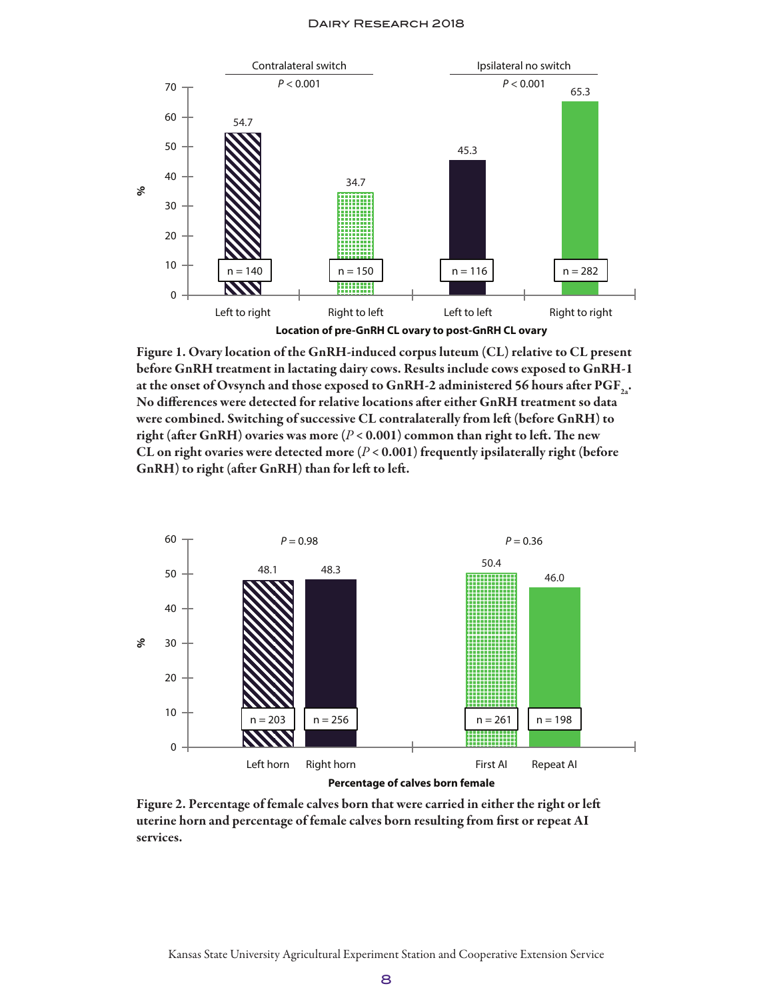

Figure 1. Ovary location of the GnRH-induced corpus luteum (CL) relative to CL present before GnRH treatment in lactating dairy cows. Results include cows exposed to GnRH-1 at the onset of Ovsynch and those exposed to GnRH-2 administered 56 hours after  $\text{PGF}_3$ . No differences were detected for relative locations after either GnRH treatment so data were combined. Switching of successive CL contralaterally from left (before GnRH) to right (after GnRH) ovaries was more  $(P < 0.001)$  common than right to left. The new CL on right ovaries were detected more  $(P < 0.001)$  frequently ipsilaterally right (before GnRH) to right (after GnRH) than for left to left.



Figure 2. Percentage of female calves born that were carried in either the right or left uterine horn and percentage of female calves born resulting from first or repeat AI services.